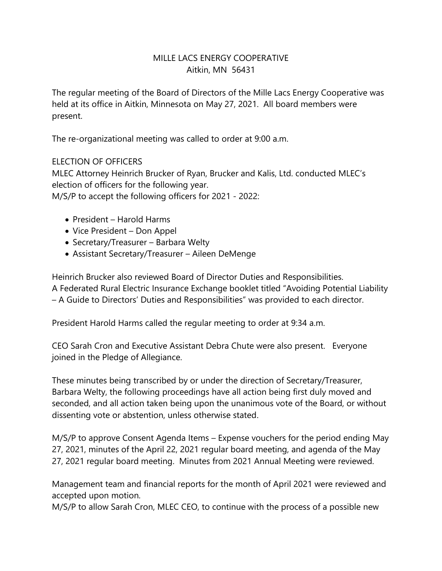## MILLE LACS ENERGY COOPERATIVE Aitkin, MN 56431

The regular meeting of the Board of Directors of the Mille Lacs Energy Cooperative was held at its office in Aitkin, Minnesota on May 27, 2021. All board members were present.

The re-organizational meeting was called to order at 9:00 a.m.

#### ELECTION OF OFFICERS

MLEC Attorney Heinrich Brucker of Ryan, Brucker and Kalis, Ltd. conducted MLEC's election of officers for the following year. M/S/P to accept the following officers for 2021 - 2022:

- President Harold Harms
- Vice President Don Appel
- Secretary/Treasurer Barbara Welty
- Assistant Secretary/Treasurer Aileen DeMenge

Heinrich Brucker also reviewed Board of Director Duties and Responsibilities. A Federated Rural Electric Insurance Exchange booklet titled "Avoiding Potential Liability – A Guide to Directors' Duties and Responsibilities" was provided to each director.

President Harold Harms called the regular meeting to order at 9:34 a.m.

CEO Sarah Cron and Executive Assistant Debra Chute were also present. Everyone joined in the Pledge of Allegiance.

These minutes being transcribed by or under the direction of Secretary/Treasurer, Barbara Welty, the following proceedings have all action being first duly moved and seconded, and all action taken being upon the unanimous vote of the Board, or without dissenting vote or abstention, unless otherwise stated.

M/S/P to approve Consent Agenda Items – Expense vouchers for the period ending May 27, 2021, minutes of the April 22, 2021 regular board meeting, and agenda of the May 27, 2021 regular board meeting. Minutes from 2021 Annual Meeting were reviewed.

Management team and financial reports for the month of April 2021 were reviewed and accepted upon motion.

M/S/P to allow Sarah Cron, MLEC CEO, to continue with the process of a possible new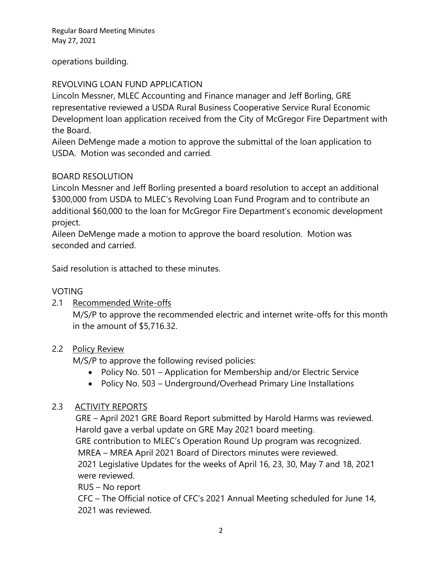Regular Board Meeting Minutes May 27, 2021

## operations building.

# REVOLVING LOAN FUND APPLICATION

Lincoln Messner, MLEC Accounting and Finance manager and Jeff Borling, GRE representative reviewed a USDA Rural Business Cooperative Service Rural Economic Development loan application received from the City of McGregor Fire Department with the Board.

Aileen DeMenge made a motion to approve the submittal of the loan application to USDA. Motion was seconded and carried.

## BOARD RESOLUTION

Lincoln Messner and Jeff Borling presented a board resolution to accept an additional \$300,000 from USDA to MLEC's Revolving Loan Fund Program and to contribute an additional \$60,000 to the loan for McGregor Fire Department's economic development project.

Aileen DeMenge made a motion to approve the board resolution. Motion was seconded and carried.

Said resolution is attached to these minutes.

#### VOTING

2.1 Recommended Write-offs

M/S/P to approve the recommended electric and internet write-offs for this month in the amount of \$5,716.32.

#### 2.2 Policy Review

M/S/P to approve the following revised policies:

- Policy No. 501 Application for Membership and/or Electric Service
- Policy No. 503 Underground/Overhead Primary Line Installations

#### 2.3 ACTIVITY REPORTS

 GRE – April 2021 GRE Board Report submitted by Harold Harms was reviewed. Harold gave a verbal update on GRE May 2021 board meeting.

GRE contribution to MLEC's Operation Round Up program was recognized.

MREA – MREA April 2021 Board of Directors minutes were reviewed.

2021 Legislative Updates for the weeks of April 16, 23, 30, May 7 and 18, 2021 were reviewed.

RUS – No report

CFC – The Official notice of CFC's 2021 Annual Meeting scheduled for June 14, 2021 was reviewed.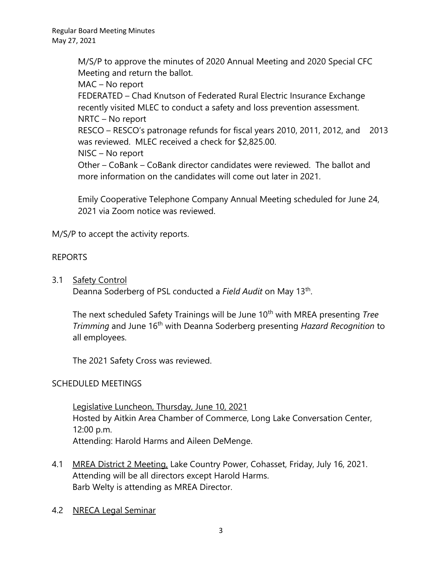M/S/P to approve the minutes of 2020 Annual Meeting and 2020 Special CFC Meeting and return the ballot.

MAC – No report

FEDERATED – Chad Knutson of Federated Rural Electric Insurance Exchange recently visited MLEC to conduct a safety and loss prevention assessment. NRTC – No report

RESCO – RESCO's patronage refunds for fiscal years 2010, 2011, 2012, and 2013 was reviewed. MLEC received a check for \$2,825.00.

NISC – No report

Other – CoBank – CoBank director candidates were reviewed. The ballot and more information on the candidates will come out later in 2021.

Emily Cooperative Telephone Company Annual Meeting scheduled for June 24, 2021 via Zoom notice was reviewed.

M/S/P to accept the activity reports.

# REPORTS

3.1 Safety Control

Deanna Soderberg of PSL conducted a Field Audit on May 13<sup>th</sup>.

The next scheduled Safety Trainings will be June 10<sup>th</sup> with MREA presenting *Tree Trimming* and June 16th with Deanna Soderberg presenting *Hazard Recognition* to all employees.

The 2021 Safety Cross was reviewed.

# SCHEDULED MEETINGS

Legislative Luncheon, Thursday, June 10, 2021 Hosted by Aitkin Area Chamber of Commerce, Long Lake Conversation Center, 12:00 p.m. Attending: Harold Harms and Aileen DeMenge.

- 4.1 MREA District 2 Meeting, Lake Country Power, Cohasset, Friday, July 16, 2021. Attending will be all directors except Harold Harms. Barb Welty is attending as MREA Director.
- 4.2 NRECA Legal Seminar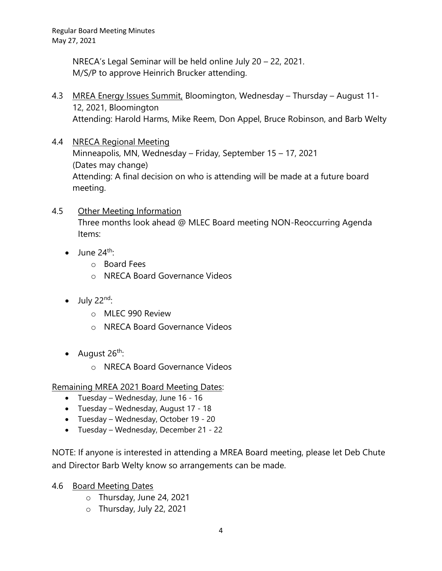NRECA's Legal Seminar will be held online July 20 – 22, 2021. M/S/P to approve Heinrich Brucker attending.

- 4.3 MREA Energy Issues Summit, Bloomington, Wednesday Thursday August 11- 12, 2021, Bloomington Attending: Harold Harms, Mike Reem, Don Appel, Bruce Robinson, and Barb Welty
- 4.4 NRECA Regional Meeting Minneapolis, MN, Wednesday – Friday, September 15 – 17, 2021 (Dates may change) Attending: A final decision on who is attending will be made at a future board meeting.
- 4.5 Other Meeting Information Three months look ahead @ MLEC Board meeting NON-Reoccurring Agenda Items:
	- $\bullet$  June 24<sup>th</sup>:
		- o Board Fees
		- o NRECA Board Governance Videos
	- $\bullet$  July 22<sup>nd</sup>:
		- o MLEC 990 Review
		- o NRECA Board Governance Videos
	- August  $26^{th}$ :
		- o NRECA Board Governance Videos

Remaining MREA 2021 Board Meeting Dates:

- Tuesday Wednesday, June 16 16
- Tuesday Wednesday, August 17 18
- Tuesday Wednesday, October 19 20
- Tuesday Wednesday, December 21 22

NOTE: If anyone is interested in attending a MREA Board meeting, please let Deb Chute and Director Barb Welty know so arrangements can be made.

- 4.6 Board Meeting Dates
	- o Thursday, June 24, 2021
	- o Thursday, July 22, 2021